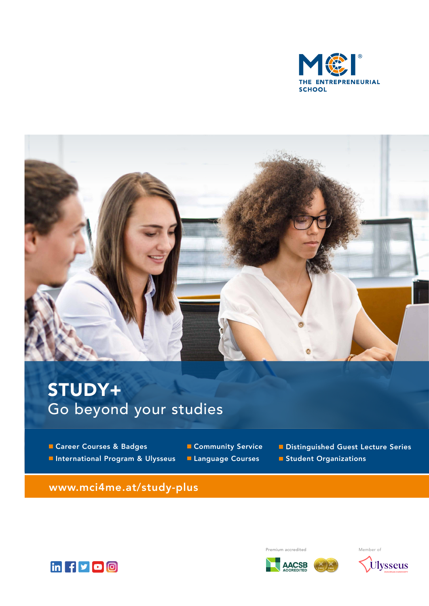



# STUDY+ Go beyond your studies

**Career Courses & Badges International Program & Ulysseus** 

**Community Service Language Courses** 

Distinguished Guest Lecture Series

**Student Organizations** 

www.mci4me.at/study-plus



Premium accredited Member of

**AACSB** 

 $\chi$ 

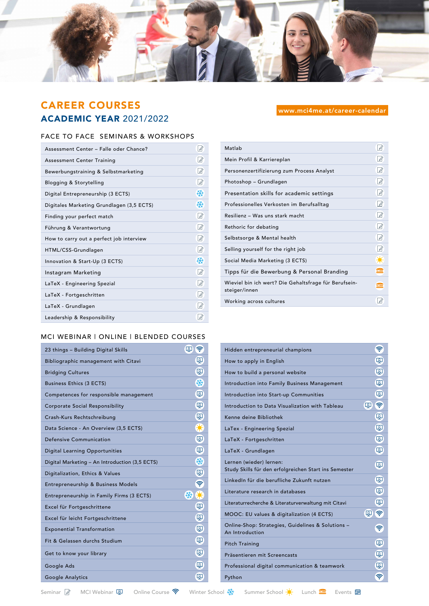

# CAREER COURSES ACADEMIC YEAR 2021/2022

#### FACE TO FACE SEMINARS & WORKSHOPS

| Assessment Center - Falle oder Chance?    |                |
|-------------------------------------------|----------------|
| <b>Assessment Center Training</b>         | 14             |
| Bewerbungstraining & Selbstmarketing      | 12             |
| Blogging & Storytelling                   | 14             |
| Digital Entrepreneurship (3 ECTS)         | ₩              |
| Digitales Marketing Grundlagen (3,5 ECTS) | 数              |
| Finding your perfect match                | $\sqrt{2}$     |
| Führung & Verantwortung                   | $\sqrt{2}$     |
| How to carry out a perfect job interview  | 12             |
| HTML/CSS-Grundlagen                       | $\overline{A}$ |
| Innovation & Start-Up (3 ECTS)            | ₩              |
| Instagram Marketing                       | $\sqrt{2}$     |
| LaTeX - Engineering Spezial               | R              |
| LaTeX - Fortgeschritten                   | 14             |
| LaTeX - Grundlagen                        | 14             |
| Leadership & Responsibility               | $\sqrt{2}$     |

#### www.mci4me.at/career-calendar

| Matlab                                                                 |               |
|------------------------------------------------------------------------|---------------|
| Mein Profil & Karriereplan                                             | $\mathscr A$  |
| Personenzertifizierung zum Process Analyst                             | $\mathscr A$  |
| Photoshop - Grundlagen                                                 | $\sqrt{2}$    |
| Presentation skills for academic settings                              | $\mathscr A$  |
| Professionelles Verkosten im Berufsalltag                              | $\mathcal{A}$ |
| Resilienz - Was uns stark macht                                        | R             |
| Rethoric for debating                                                  | 12            |
| Selbstsorge & Mental health                                            | R             |
| Selling yourself for the right job                                     | Ø             |
| Social Media Marketing (3 ECTS)                                        | ₩             |
| Tipps für die Bewerbung & Personal Branding                            | ≘             |
| Wieviel bin ich wert? Die Gehaltsfrage für Berufsein-<br>steiger/innen | ≘             |
| Working across cultures                                                |               |

#### MCI WEBINAR | ONLINE | BLENDED COURSES

| 23 things - Building Digital Skills            | 외<br>ş |
|------------------------------------------------|--------|
| Bibliographic management with Citavi           | 囟      |
| <b>Bridging Cultures</b>                       | 囟      |
| <b>Business Ethics (3 ECTS)</b>                | ₩      |
| Competences for responsible management         | 囟      |
| <b>Corporate Social Responsibility</b>         | 囟      |
| Crash-Kurs Rechtschreibung                     | 图      |
| Data Science - An Overview (3,5 ECTS)          | ₩      |
| Defensive Communication                        | ষ্ট্ৰ  |
| <b>Digital Learning Opportunities</b>          | 囟      |
| Digital Marketing - An Introduction (3,5 ECTS) | 桊      |
| Digitalization, Ethics & Values                | 图      |
| Entrepreneurship & Business Models             | 令      |
| Entrepreneurship in Family Firms (3 ECTS)      | 桊<br>₩ |
| Excel für Fortgeschrittene                     | 图      |
| Excel für leicht Fortgeschrittene              | 图      |
| <b>Exponential Transformation</b>              | 囟      |
| Fit & Gelassen durchs Studium                  | 囟      |
| Get to know your library                       | 囟      |
| Google Ads                                     | 囟      |
| Google Analytics                               | 囟      |

| Hidden entrepreneurial champions                                                 | ೯          |
|----------------------------------------------------------------------------------|------------|
| How to apply in English                                                          | 囟          |
| How to build a personal website                                                  | 囟          |
| Introduction into Family Business Management                                     | ষ্ট্ৰ      |
| Introduction into Start-up Communities                                           | 图          |
| Introduction to Data Visualization with Tableau                                  | டி<br>令    |
| Kenne deine Bibliothek                                                           | 图          |
| LaTex - Engineering Spezial                                                      | 囟          |
| LaTeX - Fortgeschritten                                                          | 囟          |
| LaTeX - Grundlagen                                                               | 图          |
| Lernen (wieder) lernen:<br>Study Skills für den erfolgreichen Start ins Semester | 囟          |
| LinkedIn für die berufliche Zukunft nutzen                                       | 囟          |
| Literature research in databases                                                 | 囟          |
| Literaturrecherche & Literaturverwaltung mit Citavi                              | 图          |
| MOOC: EU values & digitalization (4 ECTS)                                        | 令<br>டி    |
| Online-Shop: Strategies, Guidelines & Solutions -<br>An Introduction             | <b>ごうき</b> |
| <b>Pitch Training</b>                                                            | 囟          |
| Präsentieren mit Screencasts                                                     | 图          |
| Professional digital communication & teamwork                                    | 图          |
| Python                                                                           | ۱          |

Seminar  $\boxed{\alpha}$  MCI Webinar  $\boxed{\alpha}$  Online Course  $\widehat{\mathcal{R}}$  Winter School  $\frac{1}{N}$  Summer School  $\frac{1}{N}$  Lunch  $\blacksquare$  Events  $\blacksquare$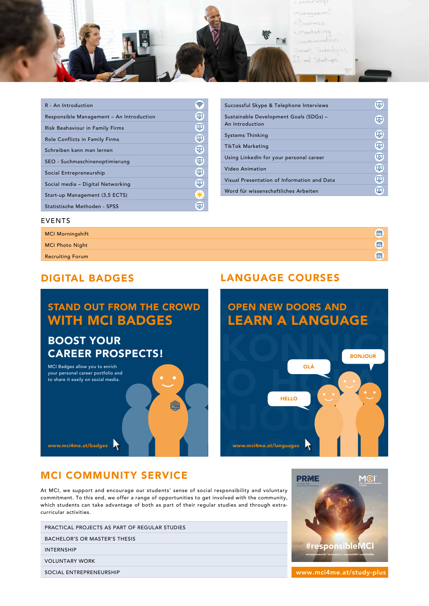management Business emarketing ommunication Smart Technologies IT and Start-ups

Ea

| R - An Introduction                      |    |
|------------------------------------------|----|
| Responsible Management - An Introduction | கு |
| Risk Beahaviour in Family Firms          | 图  |
| Role Conflicts in Family Firms           | து |
| Schreiben kann man lernen                | டி |
| SEO - Suchmaschinenoptimierung           | 图  |
| Social Entrepreneurship                  | 图  |
| Social media - Digital Networking        | டு |
| Start-up Management (3,5 ECTS)           |    |
| Statistische Methoden - SPSS             | ₽  |

| Successful Skype & Telephone Interviews                   | <u>۾ </u> |
|-----------------------------------------------------------|-----------|
| Sustainable Development Goals (SDGs) -<br>An Introduction | 42        |
| Systems Thinking                                          | 峄         |
| TikTok Marketing                                          | 囟         |
| Using LinkedIn for your personal career                   | 囟         |
| Video Animation                                           | ロ         |
| Visual Presentation of Information and Data               | 囟         |
| Word für wissenschaftliches Arbeiten                      | Q         |

#### EVENTS

| <b>MCI Morningshift</b> | 圖 |
|-------------------------|---|
| <b>MCI Photo Night</b>  | 圖 |
| <b>Recruiting Forum</b> | 圖 |

# STAND OUT FROM THE CROWD WITH MCI BADGES

# BOOST YOUR CAREER PROSPECTS! PECTS!

MCI Badges allow you to enrich your personal career portfolio and to share it easily on social media.

# WWW.mci4me.at/badges<br>
MCI COMMUNITY SERVICE

At MCI, we support and encourage our students' sense of social responsibility and voluntary commitment. To this end, we offer a range of opportunities to get involved with the community, which students can take advantage of both as part of their regular studies and through extracurricular activities.

| PRACTICAL PROJECTS AS PART OF REGULAR STUDIES |  |
|-----------------------------------------------|--|
| BACHELOR'S OR MASTER'S THESIS                 |  |
| <b>INTERNSHIP</b>                             |  |
| <b>VOLUNTARY WORK</b>                         |  |
| SOCIAL ENTREPRENEURSHIP                       |  |

#### DIGITAL BADGES LANGUAGE COURSES





www.mci4me.at/study-plus